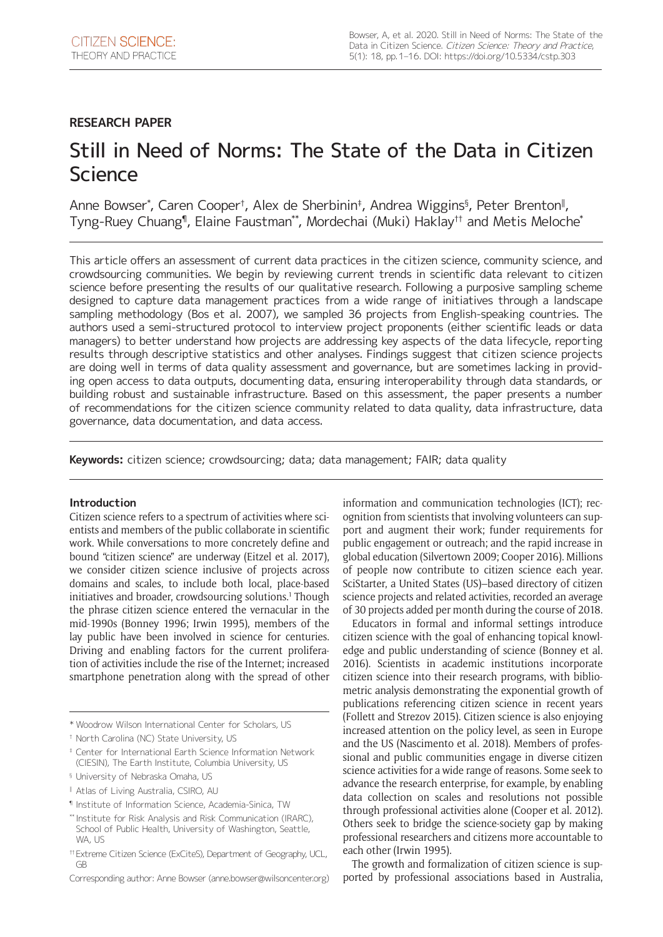## **RESEARCH PAPER**

# Still in Need of Norms: The State of the Data in Citizen **Science**

Anne Bowser\*, Caren Cooper†, Alex de Sherbinin‡, Andrea Wiggins§, Peter Brenton‼, Tyng-Ruey Chuang¶, Elaine Faustman\*\*, Mordechai (Muki) Haklay†† and Metis Meloche\*

This article offers an assessment of current data practices in the citizen science, community science, and crowdsourcing communities. We begin by reviewing current trends in scientific data relevant to citizen science before presenting the results of our qualitative research. Following a purposive sampling scheme designed to capture data management practices from a wide range of initiatives through a landscape sampling methodology (Bos et al. 2007), we sampled 36 projects from English-speaking countries. The authors used a semi-structured protocol to interview project proponents (either scientific leads or data managers) to better understand how projects are addressing key aspects of the data lifecycle, reporting results through descriptive statistics and other analyses. Findings suggest that citizen science projects are doing well in terms of data quality assessment and governance, but are sometimes lacking in providing open access to data outputs, documenting data, ensuring interoperability through data standards, or building robust and sustainable infrastructure. Based on this assessment, the paper presents a number of recommendations for the citizen science community related to data quality, data infrastructure, data governance, data documentation, and data access.

**Keywords:** citizen science; crowdsourcing; data; data management; FAIR; data quality

## **Introduction**

Citizen science refers to a spectrum of activities where scientists and members of the public collaborate in scientific work. While conversations to more concretely define and bound "citizen science" are underway (Eitzel et al. 2017), we consider citizen science inclusive of projects across domains and scales, to include both local, place-based initiatives and broader, crowdsourcing solutions.<sup>1</sup> Though the phrase citizen science entered the vernacular in the mid-1990s (Bonney 1996; Irwin 1995), members of the lay public have been involved in science for centuries. Driving and enabling factors for the current proliferation of activities include the rise of the Internet; increased smartphone penetration along with the spread of other

¶ Institute of Information Science, Academia-Sinica, TW

information and communication technologies (ICT); recognition from scientists that involving volunteers can support and augment their work; funder requirements for public engagement or outreach; and the rapid increase in global education (Silvertown 2009; Cooper 2016). Millions of people now contribute to citizen science each year. SciStarter, a United States (US)–based directory of citizen science projects and related activities, recorded an average of 30 projects added per month during the course of 2018.

Educators in formal and informal settings introduce citizen science with the goal of enhancing topical knowledge and public understanding of science (Bonney et al. 2016). Scientists in academic institutions incorporate citizen science into their research programs, with bibliometric analysis demonstrating the exponential growth of publications referencing citizen science in recent years (Follett and Strezov 2015). Citizen science is also enjoying increased attention on the policy level, as seen in Europe and the US (Nascimento et al. 2018). Members of professional and public communities engage in diverse citizen science activities for a wide range of reasons. Some seek to advance the research enterprise, for example, by enabling data collection on scales and resolutions not possible through professional activities alone (Cooper et al. 2012). Others seek to bridge the science-society gap by making professional researchers and citizens more accountable to each other (Irwin 1995).

The growth and formalization of citizen science is supported by professional associations based in Australia,

<sup>\*</sup> Woodrow Wilson International Center for Scholars, US

<sup>†</sup> North Carolina (NC) State University, US

<sup>‡</sup> Center for International Earth Science Information Network (CIESIN), The Earth Institute, Columbia University, US

<sup>§</sup> University of Nebraska Omaha, US

<sup>‖</sup> Atlas of Living Australia, CSIRO, AU

<sup>\*\*</sup> Institute for Risk Analysis and Risk Communication (IRARC), School of Public Health, University of Washington, Seattle, WA, US

<sup>††</sup>Extreme Citizen Science (ExCiteS), Department of Geography, UCL, GB

Corresponding author: Anne Bowser [\(anne.bowser@wilsoncenter.org](mailto:anne.bowser@wilsoncenter.org))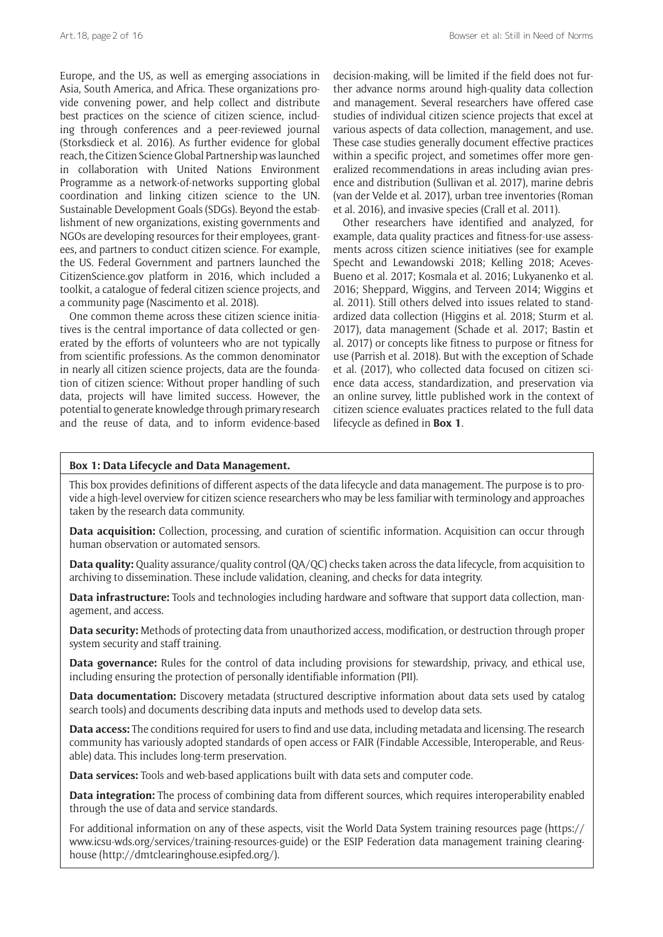Europe, and the US, as well as emerging associations in Asia, South America, and Africa. These organizations provide convening power, and help collect and distribute best practices on the science of citizen science, including through conferences and a peer-reviewed journal (Storksdieck et al. 2016). As further evidence for global reach, the Citizen Science Global Partnership was launched in collaboration with United Nations Environment Programme as a network-of-networks supporting global coordination and linking citizen science to the UN. Sustainable Development Goals (SDGs). Beyond the establishment of new organizations, existing governments and NGOs are developing resources for their employees, grantees, and partners to conduct citizen science. For example, the US. Federal Government and partners launched the [CitizenScience.gov](http://CitizenScience.gov) platform in 2016, which included a toolkit, a catalogue of federal citizen science projects, and a community page (Nascimento et al. 2018).

One common theme across these citizen science initiatives is the central importance of data collected or generated by the efforts of volunteers who are not typically from scientific professions. As the common denominator in nearly all citizen science projects, data are the foundation of citizen science: Without proper handling of such data, projects will have limited success. However, the potential to generate knowledge through primary research and the reuse of data, and to inform evidence-based

decision-making, will be limited if the field does not further advance norms around high-quality data collection and management. Several researchers have offered case studies of individual citizen science projects that excel at various aspects of data collection, management, and use. These case studies generally document effective practices within a specific project, and sometimes offer more generalized recommendations in areas including avian presence and distribution (Sullivan et al. 2017), marine debris (van der Velde et al. 2017), urban tree inventories (Roman et al. 2016), and invasive species (Crall et al. 2011).

Other researchers have identified and analyzed, for example, data quality practices and fitness-for-use assessments across citizen science initiatives (see for example Specht and Lewandowski 2018; Kelling 2018; Aceves-Bueno et al. 2017; Kosmala et al. 2016; Lukyanenko et al. 2016; Sheppard, Wiggins, and Terveen 2014; Wiggins et al. 2011). Still others delved into issues related to standardized data collection (Higgins et al. 2018; Sturm et al. 2017), data management (Schade et al. 2017; Bastin et al. 2017) or concepts like fitness to purpose or fitness for use (Parrish et al. 2018). But with the exception of Schade et al. (2017), who collected data focused on citizen science data access, standardization, and preservation via an online survey, little published work in the context of citizen science evaluates practices related to the full data lifecycle as defined in **Box 1**.

## **Box 1: Data Lifecycle and Data Management.**

This box provides definitions of different aspects of the data lifecycle and data management. The purpose is to provide a high-level overview for citizen science researchers who may be less familiar with terminology and approaches taken by the research data community.

**Data acquisition:** Collection, processing, and curation of scientific information. Acquisition can occur through human observation or automated sensors.

**Data quality:** Quality assurance/quality control (QA/QC) checks taken across the data lifecycle, from acquisition to archiving to dissemination. These include validation, cleaning, and checks for data integrity.

**Data infrastructure:** Tools and technologies including hardware and software that support data collection, management, and access.

**Data security:** Methods of protecting data from unauthorized access, modification, or destruction through proper system security and staff training.

**Data governance:** Rules for the control of data including provisions for stewardship, privacy, and ethical use, including ensuring the protection of personally identifiable information (PII).

**Data documentation:** Discovery metadata (structured descriptive information about data sets used by catalog search tools) and documents describing data inputs and methods used to develop data sets.

**Data access:** The conditions required for users to find and use data, including metadata and licensing. The research community has variously adopted standards of open access or FAIR (Findable Accessible, Interoperable, and Reusable) data. This includes long-term preservation.

**Data services:** Tools and web-based applications built with data sets and computer code.

**Data integration:** The process of combining data from different sources, which requires interoperability enabled through the use of data and service standards.

For additional information on any of these aspects, visit the World Data System training resources page [\(https://](https://www.icsu-wds.org/services/training-resources-guide) [www.icsu-wds.org/services/training-resources-guide\)](https://www.icsu-wds.org/services/training-resources-guide) or the ESIP Federation data management training clearinghouse [\(http://dmtclearinghouse.esipfed.org/](http://dmtclearinghouse.esipfed.org/)).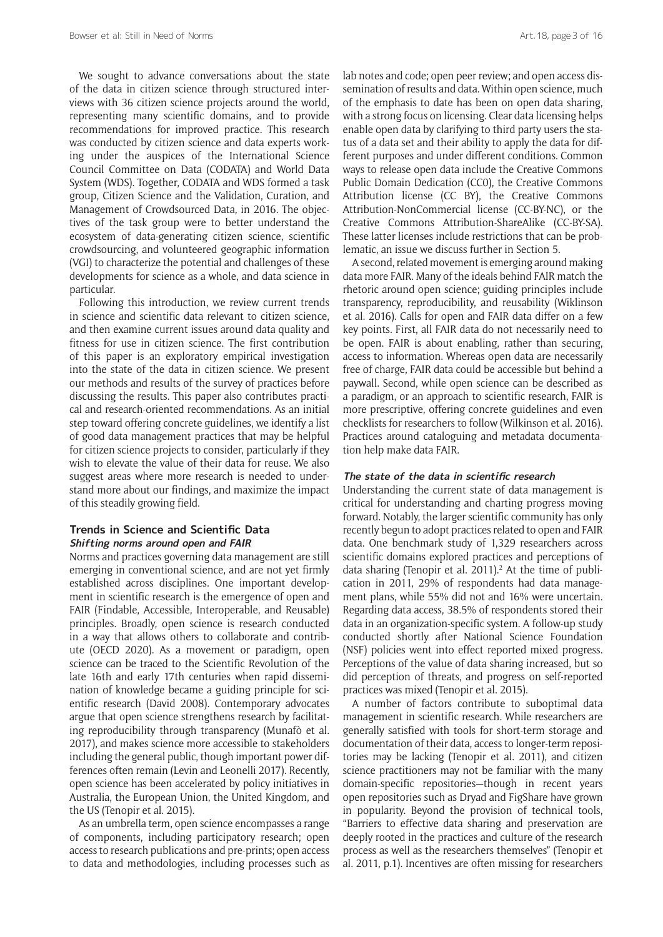We sought to advance conversations about the state of the data in citizen science through structured interviews with 36 citizen science projects around the world, representing many scientific domains, and to provide recommendations for improved practice. This research was conducted by citizen science and data experts working under the auspices of the International Science Council Committee on Data (CODATA) and World Data System (WDS). Together, CODATA and WDS formed a task group, Citizen Science and the Validation, Curation, and Management of Crowdsourced Data, in 2016. The objectives of the task group were to better understand the ecosystem of data-generating citizen science, scientific crowdsourcing, and volunteered geographic information (VGI) to characterize the potential and challenges of these developments for science as a whole, and data science in particular.

Following this introduction, we review current trends in science and scientific data relevant to citizen science, and then examine current issues around data quality and fitness for use in citizen science. The first contribution of this paper is an exploratory empirical investigation into the state of the data in citizen science. We present our methods and results of the survey of practices before discussing the results. This paper also contributes practical and research-oriented recommendations. As an initial step toward offering concrete guidelines, we identify a list of good data management practices that may be helpful for citizen science projects to consider, particularly if they wish to elevate the value of their data for reuse. We also suggest areas where more research is needed to understand more about our findings, and maximize the impact of this steadily growing field.

## **Trends in Science and Scientific Data Shifting norms around open and FAIR**

Norms and practices governing data management are still emerging in conventional science, and are not yet firmly established across disciplines. One important development in scientific research is the emergence of open and FAIR (Findable, Accessible, Interoperable, and Reusable) principles. Broadly, open science is research conducted in a way that allows others to collaborate and contribute (OECD 2020). As a movement or paradigm, open science can be traced to the Scientific Revolution of the late 16th and early 17th centuries when rapid dissemination of knowledge became a guiding principle for scientific research (David 2008). Contemporary advocates argue that open science strengthens research by facilitating reproducibility through transparency (Munafò et al. 2017), and makes science more accessible to stakeholders including the general public, though important power differences often remain (Levin and Leonelli 2017). Recently, open science has been accelerated by policy initiatives in Australia, the European Union, the United Kingdom, and the US (Tenopir et al. 2015).

As an umbrella term, open science encompasses a range of components, including participatory research; open access to research publications and pre-prints; open access to data and methodologies, including processes such as lab notes and code; open peer review; and open access dissemination of results and data. Within open science, much of the emphasis to date has been on open data sharing, with a strong focus on licensing. Clear data licensing helps enable open data by clarifying to third party users the status of a data set and their ability to apply the data for different purposes and under different conditions. Common ways to release open data include the Creative Commons Public Domain Dedication (CC0), the Creative Commons Attribution license (CC BY), the Creative Commons Attribution-NonCommercial license (CC-BY-NC), or the Creative Commons Attribution-ShareAlike (CC-BY-SA). These latter licenses include restrictions that can be problematic, an issue we discuss further in Section 5.

A second, related movement is emerging around making data more FAIR. Many of the ideals behind FAIR match the rhetoric around open science; guiding principles include transparency, reproducibility, and reusability (Wiklinson et al. 2016). Calls for open and FAIR data differ on a few key points. First, all FAIR data do not necessarily need to be open. FAIR is about enabling, rather than securing, access to information. Whereas open data are necessarily free of charge, FAIR data could be accessible but behind a paywall. Second, while open science can be described as a paradigm, or an approach to scientific research, FAIR is more prescriptive, offering concrete guidelines and even checklists for researchers to follow (Wilkinson et al. 2016). Practices around cataloguing and metadata documentation help make data FAIR.

## **The state of the data in scientific research**

Understanding the current state of data management is critical for understanding and charting progress moving forward. Notably, the larger scientific community has only recently begun to adopt practices related to open and FAIR data. One benchmark study of 1,329 researchers across scientific domains explored practices and perceptions of data sharing (Tenopir et al. 2011).<sup>2</sup> At the time of publication in 2011, 29% of respondents had data management plans, while 55% did not and 16% were uncertain. Regarding data access, 38.5% of respondents stored their data in an organization-specific system. A follow-up study conducted shortly after National Science Foundation (NSF) policies went into effect reported mixed progress. Perceptions of the value of data sharing increased, but so did perception of threats, and progress on self-reported practices was mixed (Tenopir et al. 2015).

A number of factors contribute to suboptimal data management in scientific research. While researchers are generally satisfied with tools for short-term storage and documentation of their data, access to longer-term repositories may be lacking (Tenopir et al. 2011), and citizen science practitioners may not be familiar with the many domain-specific repositories—though in recent years open repositories such as Dryad and FigShare have grown in popularity. Beyond the provision of technical tools, "Barriers to effective data sharing and preservation are deeply rooted in the practices and culture of the research process as well as the researchers themselves" (Tenopir et al. 2011, p.1). Incentives are often missing for researchers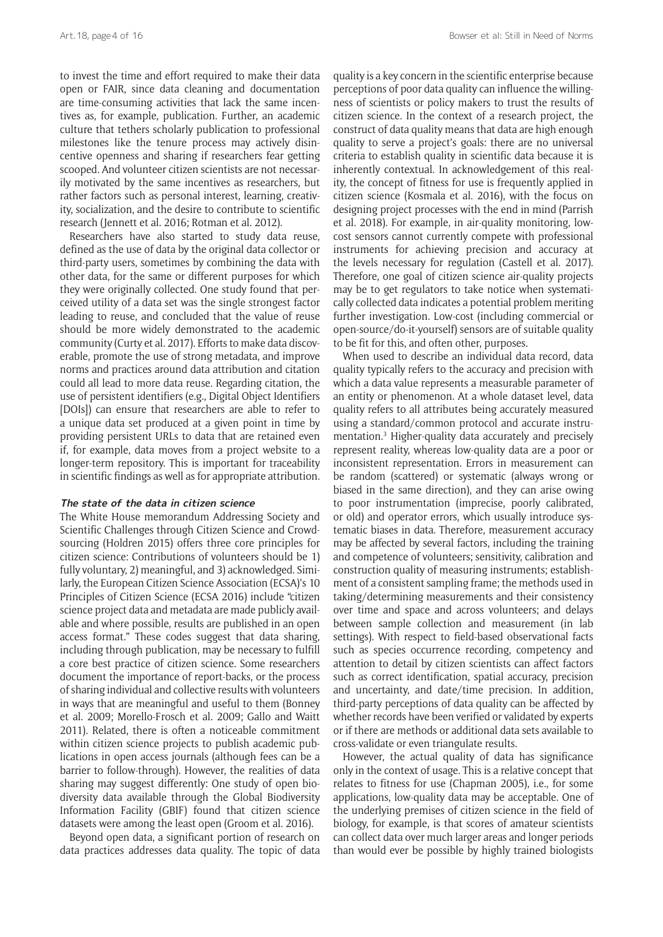to invest the time and effort required to make their data open or FAIR, since data cleaning and documentation are time-consuming activities that lack the same incentives as, for example, publication. Further, an academic culture that tethers scholarly publication to professional milestones like the tenure process may actively disincentive openness and sharing if researchers fear getting scooped. And volunteer citizen scientists are not necessarily motivated by the same incentives as researchers, but rather factors such as personal interest, learning, creativity, socialization, and the desire to contribute to scientific research (Jennett et al. 2016; Rotman et al. 2012).

Researchers have also started to study data reuse, defined as the use of data by the original data collector or third-party users, sometimes by combining the data with other data, for the same or different purposes for which they were originally collected. One study found that perceived utility of a data set was the single strongest factor leading to reuse, and concluded that the value of reuse should be more widely demonstrated to the academic community (Curty et al. 2017). Efforts to make data discoverable, promote the use of strong metadata, and improve norms and practices around data attribution and citation could all lead to more data reuse. Regarding citation, the use of persistent identifiers (e.g., Digital Object Identifiers [DOIs]) can ensure that researchers are able to refer to a unique data set produced at a given point in time by providing persistent URLs to data that are retained even if, for example, data moves from a project website to a longer-term repository. This is important for traceability in scientific findings as well as for appropriate attribution.

## **The state of the data in citizen science**

The White House memorandum Addressing Society and Scientific Challenges through Citizen Science and Crowdsourcing (Holdren 2015) offers three core principles for citizen science: Contributions of volunteers should be 1) fully voluntary, 2) meaningful, and 3) acknowledged. Similarly, the European Citizen Science Association (ECSA)'s 10 Principles of Citizen Science (ECSA 2016) include "citizen science project data and metadata are made publicly available and where possible, results are published in an open access format*.*" These codes suggest that data sharing, including through publication, may be necessary to fulfill a core best practice of citizen science. Some researchers document the importance of report-backs, or the process of sharing individual and collective results with volunteers in ways that are meaningful and useful to them (Bonney et al. 2009; Morello-Frosch et al. 2009; Gallo and Waitt 2011). Related, there is often a noticeable commitment within citizen science projects to publish academic publications in open access journals (although fees can be a barrier to follow-through). However, the realities of data sharing may suggest differently: One study of open biodiversity data available through the Global Biodiversity Information Facility (GBIF) found that citizen science datasets were among the least open (Groom et al. 2016).

Beyond open data, a significant portion of research on data practices addresses data quality. The topic of data quality is a key concern in the scientific enterprise because perceptions of poor data quality can influence the willingness of scientists or policy makers to trust the results of citizen science. In the context of a research project, the construct of data quality means that data are high enough quality to serve a project's goals: there are no universal criteria to establish quality in scientific data because it is inherently contextual. In acknowledgement of this reality, the concept of fitness for use is frequently applied in citizen science (Kosmala et al. 2016), with the focus on designing project processes with the end in mind (Parrish et al. 2018). For example, in air-quality monitoring, lowcost sensors cannot currently compete with professional instruments for achieving precision and accuracy at the levels necessary for regulation (Castell et al. 2017). Therefore, one goal of citizen science air-quality projects may be to get regulators to take notice when systematically collected data indicates a potential problem meriting further investigation. Low-cost (including commercial or open-source/do-it-yourself) sensors are of suitable quality to be fit for this, and often other, purposes.

When used to describe an individual data record, data quality typically refers to the accuracy and precision with which a data value represents a measurable parameter of an entity or phenomenon. At a whole dataset level, data quality refers to all attributes being accurately measured using a standard/common protocol and accurate instrumentation.3 Higher-quality data accurately and precisely represent reality, whereas low-quality data are a poor or inconsistent representation. Errors in measurement can be random (scattered) or systematic (always wrong or biased in the same direction), and they can arise owing to poor instrumentation (imprecise, poorly calibrated, or old) and operator errors, which usually introduce systematic biases in data. Therefore, measurement accuracy may be affected by several factors, including the training and competence of volunteers; sensitivity, calibration and construction quality of measuring instruments; establishment of a consistent sampling frame; the methods used in taking/determining measurements and their consistency over time and space and across volunteers; and delays between sample collection and measurement (in lab settings). With respect to field-based observational facts such as species occurrence recording, competency and attention to detail by citizen scientists can affect factors such as correct identification, spatial accuracy, precision and uncertainty, and date/time precision. In addition, third-party perceptions of data quality can be affected by whether records have been verified or validated by experts or if there are methods or additional data sets available to cross-validate or even triangulate results.

However, the actual quality of data has significance only in the context of usage. This is a relative concept that relates to fitness for use (Chapman 2005), i.e., for some applications, low-quality data may be acceptable. One of the underlying premises of citizen science in the field of biology, for example, is that scores of amateur scientists can collect data over much larger areas and longer periods than would ever be possible by highly trained biologists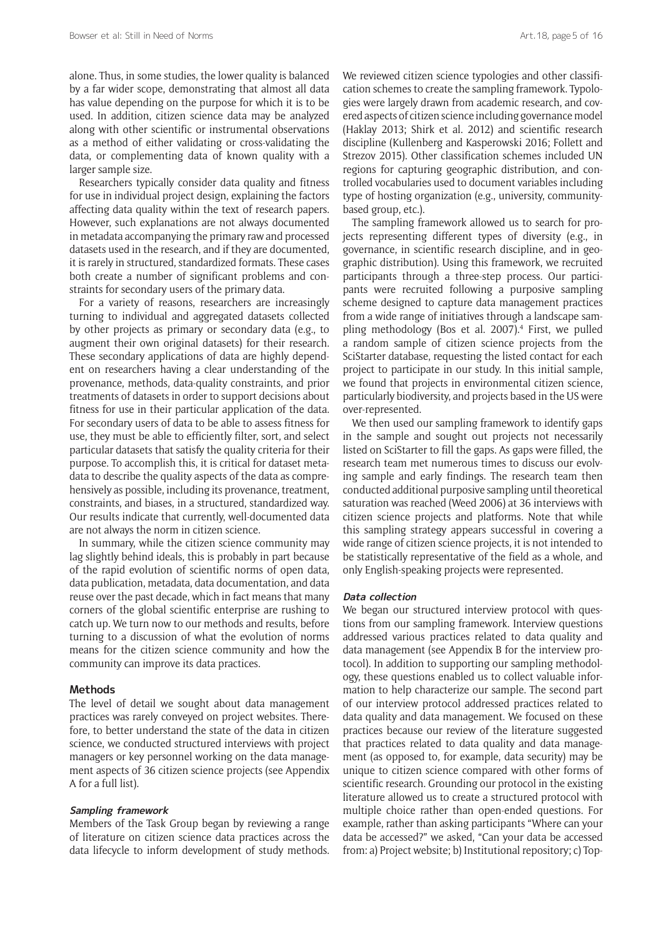alone. Thus, in some studies, the lower quality is balanced by a far wider scope, demonstrating that almost all data has value depending on the purpose for which it is to be used. In addition, citizen science data may be analyzed along with other scientific or instrumental observations as a method of either validating or cross-validating the data, or complementing data of known quality with a larger sample size.

Researchers typically consider data quality and fitness for use in individual project design, explaining the factors affecting data quality within the text of research papers. However, such explanations are not always documented in metadata accompanying the primary raw and processed datasets used in the research, and if they are documented, it is rarely in structured, standardized formats. These cases both create a number of significant problems and constraints for secondary users of the primary data.

For a variety of reasons, researchers are increasingly turning to individual and aggregated datasets collected by other projects as primary or secondary data (e.g., to augment their own original datasets) for their research. These secondary applications of data are highly dependent on researchers having a clear understanding of the provenance, methods, data-quality constraints, and prior treatments of datasets in order to support decisions about fitness for use in their particular application of the data. For secondary users of data to be able to assess fitness for use, they must be able to efficiently filter, sort, and select particular datasets that satisfy the quality criteria for their purpose. To accomplish this, it is critical for dataset metadata to describe the quality aspects of the data as comprehensively as possible, including its provenance, treatment, constraints, and biases, in a structured, standardized way. Our results indicate that currently, well-documented data are not always the norm in citizen science.

In summary, while the citizen science community may lag slightly behind ideals, this is probably in part because of the rapid evolution of scientific norms of open data, data publication, metadata, data documentation, and data reuse over the past decade, which in fact means that many corners of the global scientific enterprise are rushing to catch up. We turn now to our methods and results, before turning to a discussion of what the evolution of norms means for the citizen science community and how the community can improve its data practices.

#### **Methods**

The level of detail we sought about data management practices was rarely conveyed on project websites. Therefore, to better understand the state of the data in citizen science, we conducted structured interviews with project managers or key personnel working on the data management aspects of 36 citizen science projects (see Appendix A for a full list).

#### **Sampling framework**

Members of the Task Group began by reviewing a range of literature on citizen science data practices across the data lifecycle to inform development of study methods.

We reviewed citizen science typologies and other classification schemes to create the sampling framework. Typologies were largely drawn from academic research, and covered aspects of citizen science including governance model (Haklay 2013; Shirk et al. 2012) and scientific research discipline (Kullenberg and Kasperowski 2016; Follett and Strezov 2015). Other classification schemes included UN regions for capturing geographic distribution, and controlled vocabularies used to document variables including type of hosting organization (e.g., university, communitybased group, etc.).

The sampling framework allowed us to search for projects representing different types of diversity (e.g., in governance, in scientific research discipline, and in geographic distribution). Using this framework, we recruited participants through a three-step process. Our participants were recruited following a purposive sampling scheme designed to capture data management practices from a wide range of initiatives through a landscape sampling methodology (Bos et al. 2007).4 First, we pulled a random sample of citizen science projects from the SciStarter database, requesting the listed contact for each project to participate in our study. In this initial sample, we found that projects in environmental citizen science, particularly biodiversity, and projects based in the US were over-represented.

We then used our sampling framework to identify gaps in the sample and sought out projects not necessarily listed on SciStarter to fill the gaps. As gaps were filled, the research team met numerous times to discuss our evolving sample and early findings. The research team then conducted additional purposive sampling until theoretical saturation was reached (Weed 2006) at 36 interviews with citizen science projects and platforms. Note that while this sampling strategy appears successful in covering a wide range of citizen science projects, it is not intended to be statistically representative of the field as a whole, and only English-speaking projects were represented.

#### **Data collection**

We began our structured interview protocol with questions from our sampling framework. Interview questions addressed various practices related to data quality and data management (see Appendix B for the interview protocol). In addition to supporting our sampling methodology, these questions enabled us to collect valuable information to help characterize our sample. The second part of our interview protocol addressed practices related to data quality and data management. We focused on these practices because our review of the literature suggested that practices related to data quality and data management (as opposed to, for example, data security) may be unique to citizen science compared with other forms of scientific research. Grounding our protocol in the existing literature allowed us to create a structured protocol with multiple choice rather than open-ended questions. For example, rather than asking participants "Where can your data be accessed?" we asked, "Can your data be accessed from: a) Project website; b) Institutional repository; c) Top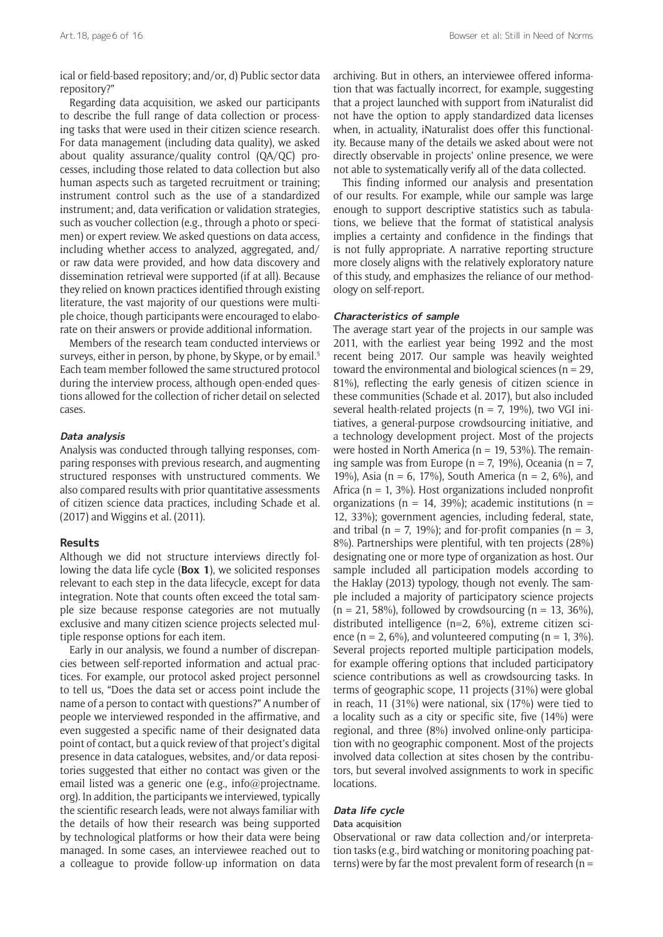ical or field-based repository; and/or, d) Public sector data repository?"

Regarding data acquisition, we asked our participants to describe the full range of data collection or processing tasks that were used in their citizen science research. For data management (including data quality), we asked about quality assurance/quality control (QA/QC) processes, including those related to data collection but also human aspects such as targeted recruitment or training; instrument control such as the use of a standardized instrument; and, data verification or validation strategies, such as voucher collection (e.g., through a photo or specimen) or expert review. We asked questions on data access, including whether access to analyzed, aggregated, and/ or raw data were provided, and how data discovery and dissemination retrieval were supported (if at all). Because they relied on known practices identified through existing literature, the vast majority of our questions were multiple choice, though participants were encouraged to elaborate on their answers or provide additional information.

Members of the research team conducted interviews or surveys, either in person, by phone, by Skype, or by email.<sup>5</sup> Each team member followed the same structured protocol during the interview process, although open-ended questions allowed for the collection of richer detail on selected cases.

#### **Data analysis**

Analysis was conducted through tallying responses, comparing responses with previous research, and augmenting structured responses with unstructured comments. We also compared results with prior quantitative assessments of citizen science data practices, including Schade et al. (2017) and Wiggins et al. (2011).

#### **Results**

Although we did not structure interviews directly following the data life cycle (**Box 1**), we solicited responses relevant to each step in the data lifecycle, except for data integration. Note that counts often exceed the total sample size because response categories are not mutually exclusive and many citizen science projects selected multiple response options for each item.

Early in our analysis, we found a number of discrepancies between self-reported information and actual practices. For example, our protocol asked project personnel to tell us, "Does the data set or access point include the name of a person to contact with questions?" A number of people we interviewed responded in the affirmative, and even suggested a specific name of their designated data point of contact, but a quick review of that project's digital presence in data catalogues, websites, and/or data repositories suggested that either no contact was given or the email listed was a generic one (e.g., [info@projectname.](mailto:info@projectname.org) [org](mailto:info@projectname.org)). In addition, the participants we interviewed, typically the scientific research leads, were not always familiar with the details of how their research was being supported by technological platforms or how their data were being managed. In some cases, an interviewee reached out to a colleague to provide follow-up information on data archiving. But in others, an interviewee offered information that was factually incorrect, for example, suggesting that a project launched with support from iNaturalist did not have the option to apply standardized data licenses when, in actuality, iNaturalist does offer this functionality. Because many of the details we asked about were not directly observable in projects' online presence, we were not able to systematically verify all of the data collected.

This finding informed our analysis and presentation of our results. For example, while our sample was large enough to support descriptive statistics such as tabulations, we believe that the format of statistical analysis implies a certainty and confidence in the findings that is not fully appropriate. A narrative reporting structure more closely aligns with the relatively exploratory nature of this study, and emphasizes the reliance of our methodology on self-report.

#### **Characteristics of sample**

The average start year of the projects in our sample was 2011, with the earliest year being 1992 and the most recent being 2017. Our sample was heavily weighted toward the environmental and biological sciences ( $n = 29$ , 81%), reflecting the early genesis of citizen science in these communities (Schade et al. 2017), but also included several health-related projects ( $n = 7$ , 19%), two VGI initiatives, a general-purpose crowdsourcing initiative, and a technology development project. Most of the projects were hosted in North America ( $n = 19$ , 53%). The remaining sample was from Europe ( $n = 7$ , 19%), Oceania ( $n = 7$ , 19%), Asia (n = 6, 17%), South America (n = 2, 6%), and Africa ( $n = 1$ , 3%). Host organizations included nonprofit organizations (n = 14, 39%); academic institutions (n = 12, 33%); government agencies, including federal, state, and tribal ( $n = 7$ , 19%); and for-profit companies ( $n = 3$ , 8%). Partnerships were plentiful, with ten projects (28%) designating one or more type of organization as host. Our sample included all participation models according to the Haklay (2013) typology, though not evenly. The sample included a majority of participatory science projects  $(n = 21, 58\%)$ , followed by crowdsourcing  $(n = 13, 36\%)$ , distributed intelligence (n=2, 6%), extreme citizen science (n = 2, 6%), and volunteered computing (n = 1, 3%). Several projects reported multiple participation models, for example offering options that included participatory science contributions as well as crowdsourcing tasks. In terms of geographic scope, 11 projects (31%) were global in reach, 11 (31%) were national, six (17%) were tied to a locality such as a city or specific site, five (14%) were regional, and three (8%) involved online-only participation with no geographic component. Most of the projects involved data collection at sites chosen by the contributors, but several involved assignments to work in specific locations.

#### **Data life cycle**

#### Data acquisition

Observational or raw data collection and/or interpretation tasks (e.g., bird watching or monitoring poaching patterns) were by far the most prevalent form of research ( $n =$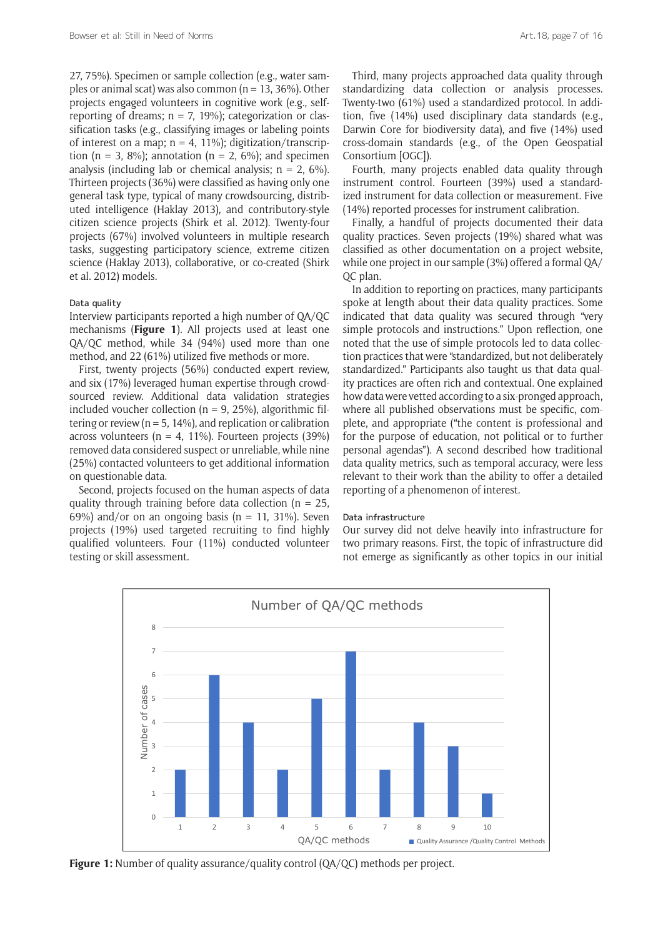27, 75%). Specimen or sample collection (e.g., water samples or animal scat) was also common ( $n = 13, 36\%$ ). Other projects engaged volunteers in cognitive work (e.g., selfreporting of dreams;  $n = 7$ , 19%); categorization or classification tasks (e.g., classifying images or labeling points of interest on a map;  $n = 4$ , 11%); digitization/transcription (n = 3, 8%); annotation (n = 2, 6%); and specimen analysis (including lab or chemical analysis:  $n = 2$ , 6%). Thirteen projects (36%) were classified as having only one general task type, typical of many crowdsourcing, distributed intelligence (Haklay 2013), and contributory-style citizen science projects (Shirk et al. 2012). Twenty-four projects (67%) involved volunteers in multiple research tasks, suggesting participatory science, extreme citizen science (Haklay 2013), collaborative, or co-created (Shirk et al. 2012) models.

#### Data quality

Interview participants reported a high number of QA/QC mechanisms (**Figure 1**). All projects used at least one QA/QC method, while 34 (94%) used more than one method, and 22 (61%) utilized five methods or more.

First, twenty projects (56%) conducted expert review, and six (17%) leveraged human expertise through crowdsourced review. Additional data validation strategies included voucher collection ( $n = 9$ , 25%), algorithmic filtering or review ( $n = 5$ , 14%), and replication or calibration across volunteers ( $n = 4$ , 11%). Fourteen projects (39%) removed data considered suspect or unreliable, while nine (25%) contacted volunteers to get additional information on questionable data.

Second, projects focused on the human aspects of data quality through training before data collection ( $n = 25$ , 69%) and/or on an ongoing basis ( $n = 11, 31\%$ ). Seven projects (19%) used targeted recruiting to find highly qualified volunteers. Four (11%) conducted volunteer testing or skill assessment.

Third, many projects approached data quality through standardizing data collection or analysis processes. Twenty-two (61%) used a standardized protocol. In addition, five (14%) used disciplinary data standards (e.g., Darwin Core for biodiversity data), and five (14%) used cross-domain standards (e.g., of the Open Geospatial Consortium [OGC]).

Fourth, many projects enabled data quality through instrument control. Fourteen (39%) used a standardized instrument for data collection or measurement. Five (14%) reported processes for instrument calibration.

Finally, a handful of projects documented their data quality practices. Seven projects (19%) shared what was classified as other documentation on a project website, while one project in our sample (3%) offered a formal QA/ QC plan.

In addition to reporting on practices, many participants spoke at length about their data quality practices. Some indicated that data quality was secured through "very simple protocols and instructions." Upon reflection, one noted that the use of simple protocols led to data collection practices that were "standardized, but not deliberately standardized." Participants also taught us that data quality practices are often rich and contextual. One explained how data were vetted according to a six-pronged approach, where all published observations must be specific, complete, and appropriate ("the content is professional and for the purpose of education, not political or to further personal agendas"). A second described how traditional data quality metrics, such as temporal accuracy, were less relevant to their work than the ability to offer a detailed reporting of a phenomenon of interest.

#### Data infrastructure

Our survey did not delve heavily into infrastructure for two primary reasons. First, the topic of infrastructure did not emerge as significantly as other topics in our initial



**Figure 1:** Number of quality assurance/quality control (QA/QC) methods per project.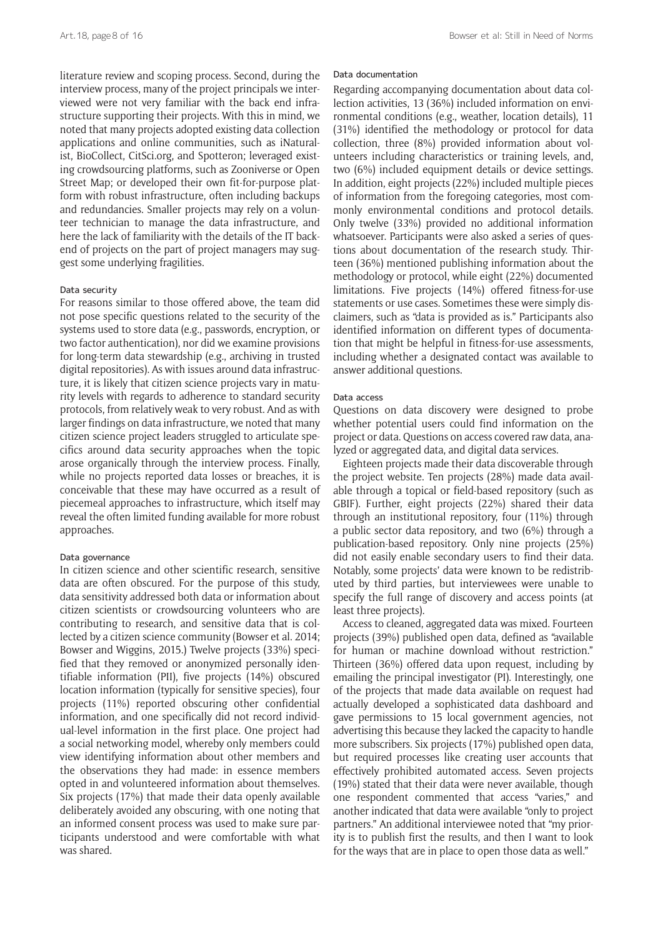literature review and scoping process. Second, during the interview process, many of the project principals we interviewed were not very familiar with the back end infrastructure supporting their projects. With this in mind, we noted that many projects adopted existing data collection applications and online communities, such as iNaturalist, BioCollect, [CitSci.org](http://CitSci.org), and Spotteron; leveraged existing crowdsourcing platforms, such as Zooniverse or Open Street Map; or developed their own fit-for-purpose platform with robust infrastructure, often including backups and redundancies. Smaller projects may rely on a volunteer technician to manage the data infrastructure, and here the lack of familiarity with the details of the IT backend of projects on the part of project managers may suggest some underlying fragilities.

## Data security

For reasons similar to those offered above, the team did not pose specific questions related to the security of the systems used to store data (e.g., passwords, encryption, or two factor authentication), nor did we examine provisions for long-term data stewardship (e.g., archiving in trusted digital repositories). As with issues around data infrastructure, it is likely that citizen science projects vary in maturity levels with regards to adherence to standard security protocols, from relatively weak to very robust. And as with larger findings on data infrastructure, we noted that many citizen science project leaders struggled to articulate specifics around data security approaches when the topic arose organically through the interview process. Finally, while no projects reported data losses or breaches, it is conceivable that these may have occurred as a result of piecemeal approaches to infrastructure, which itself may reveal the often limited funding available for more robust approaches.

#### Data governance

In citizen science and other scientific research, sensitive data are often obscured. For the purpose of this study, data sensitivity addressed both data or information about citizen scientists or crowdsourcing volunteers who are contributing to research, and sensitive data that is collected by a citizen science community (Bowser et al. 2014; Bowser and Wiggins, 2015.) Twelve projects (33%) specified that they removed or anonymized personally identifiable information (PII), five projects (14%) obscured location information (typically for sensitive species), four projects (11%) reported obscuring other confidential information, and one specifically did not record individual-level information in the first place. One project had a social networking model, whereby only members could view identifying information about other members and the observations they had made: in essence members opted in and volunteered information about themselves. Six projects (17%) that made their data openly available deliberately avoided any obscuring, with one noting that an informed consent process was used to make sure participants understood and were comfortable with what was shared.

#### Data documentation

Regarding accompanying documentation about data collection activities, 13 (36%) included information on environmental conditions (e.g., weather, location details), 11 (31%) identified the methodology or protocol for data collection, three (8%) provided information about volunteers including characteristics or training levels, and, two (6%) included equipment details or device settings. In addition, eight projects (22%) included multiple pieces of information from the foregoing categories, most commonly environmental conditions and protocol details. Only twelve (33%) provided no additional information whatsoever. Participants were also asked a series of questions about documentation of the research study. Thirteen (36%) mentioned publishing information about the methodology or protocol, while eight (22%) documented limitations. Five projects (14%) offered fitness-for-use statements or use cases. Sometimes these were simply disclaimers, such as "data is provided as is." Participants also identified information on different types of documentation that might be helpful in fitness-for-use assessments, including whether a designated contact was available to answer additional questions.

#### Data access

Questions on data discovery were designed to probe whether potential users could find information on the project or data. Questions on access covered raw data, analyzed or aggregated data, and digital data services.

Eighteen projects made their data discoverable through the project website. Ten projects (28%) made data available through a topical or field-based repository (such as GBIF). Further, eight projects (22%) shared their data through an institutional repository, four (11%) through a public sector data repository, and two (6%) through a publication-based repository. Only nine projects (25%) did not easily enable secondary users to find their data. Notably, some projects' data were known to be redistributed by third parties, but interviewees were unable to specify the full range of discovery and access points (at least three projects).

Access to cleaned, aggregated data was mixed. Fourteen projects (39%) published open data, defined as "available for human or machine download without restriction." Thirteen (36%) offered data upon request, including by emailing the principal investigator (PI). Interestingly, one of the projects that made data available on request had actually developed a sophisticated data dashboard and gave permissions to 15 local government agencies, not advertising this because they lacked the capacity to handle more subscribers. Six projects (17%) published open data, but required processes like creating user accounts that effectively prohibited automated access. Seven projects (19%) stated that their data were never available, though one respondent commented that access "varies," and another indicated that data were available "only to project partners." An additional interviewee noted that "my priority is to publish first the results, and then I want to look for the ways that are in place to open those data as well."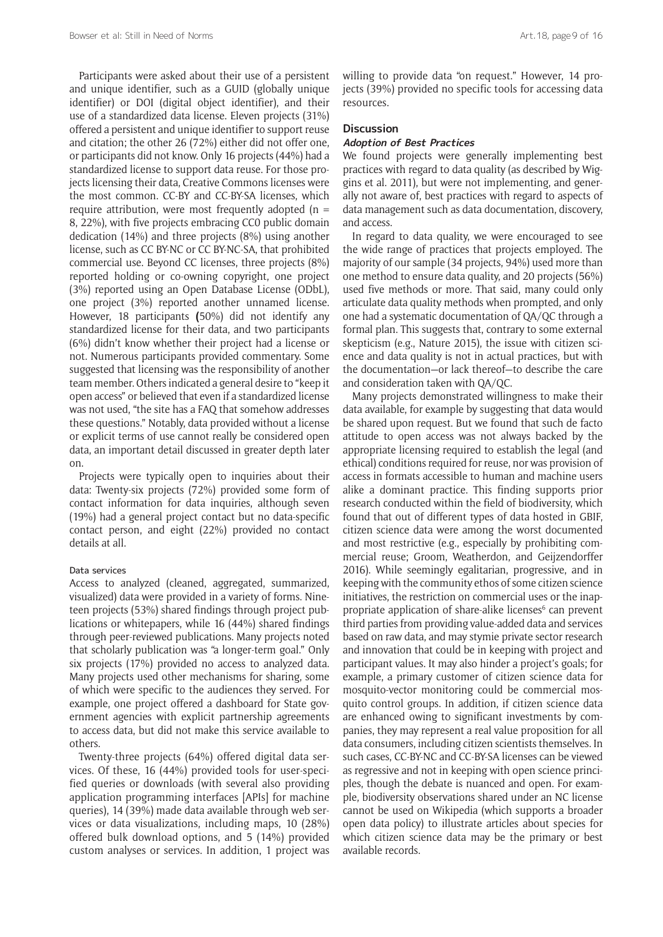Participants were asked about their use of a persistent and unique identifier, such as a GUID (globally unique identifier) or DOI (digital object identifier), and their use of a standardized data license. Eleven projects (31%) offered a persistent and unique identifier to support reuse and citation; the other 26 (72%) either did not offer one, or participants did not know. Only 16 projects (44%) had a standardized license to support data reuse. For those projects licensing their data, Creative Commons licenses were the most common. CC-BY and CC-BY-SA licenses, which require attribution, were most frequently adopted ( $n =$ 8, 22%), with five projects embracing CC0 public domain dedication (14%) and three projects (8%) using another license, such as CC BY-NC or CC BY-NC-SA, that prohibited commercial use. Beyond CC licenses, three projects (8%) reported holding or co-owning copyright, one project (3%) reported using an Open Database License (ODbL), one project (3%) reported another unnamed license. However, 18 participants **(**50%) did not identify any standardized license for their data, and two participants (6%) didn't know whether their project had a license or not. Numerous participants provided commentary. Some suggested that licensing was the responsibility of another team member. Others indicated a general desire to "keep it open access" or believed that even if a standardized license was not used, "the site has a FAQ that somehow addresses these questions." Notably, data provided without a license or explicit terms of use cannot really be considered open data, an important detail discussed in greater depth later on.

Projects were typically open to inquiries about their data: Twenty-six projects (72%) provided some form of contact information for data inquiries, although seven (19%) had a general project contact but no data-specific contact person, and eight (22%) provided no contact details at all.

#### Data services

Access to analyzed (cleaned, aggregated, summarized, visualized) data were provided in a variety of forms. Nineteen projects (53%) shared findings through project publications or whitepapers, while 16 (44%) shared findings through peer-reviewed publications. Many projects noted that scholarly publication was "a longer-term goal." Only six projects (17%) provided no access to analyzed data. Many projects used other mechanisms for sharing, some of which were specific to the audiences they served. For example, one project offered a dashboard for State government agencies with explicit partnership agreements to access data, but did not make this service available to others.

Twenty-three projects (64%) offered digital data services. Of these, 16 (44%) provided tools for user-specified queries or downloads (with several also providing application programming interfaces [APIs] for machine queries), 14 (39%) made data available through web services or data visualizations, including maps, 10 (28%) offered bulk download options, and 5 (14%) provided custom analyses or services. In addition, 1 project was willing to provide data "on request." However, 14 projects (39%) provided no specific tools for accessing data resources.

## **Discussion**

## **Adoption of Best Practices**

We found projects were generally implementing best practices with regard to data quality (as described by Wiggins et al. 2011), but were not implementing, and generally not aware of, best practices with regard to aspects of data management such as data documentation, discovery, and access.

In regard to data quality, we were encouraged to see the wide range of practices that projects employed. The majority of our sample (34 projects, 94%) used more than one method to ensure data quality, and 20 projects (56%) used five methods or more. That said, many could only articulate data quality methods when prompted, and only one had a systematic documentation of QA/QC through a formal plan. This suggests that, contrary to some external skepticism (e.g., Nature 2015), the issue with citizen science and data quality is not in actual practices, but with the documentation—or lack thereof—to describe the care and consideration taken with QA/QC.

Many projects demonstrated willingness to make their data available, for example by suggesting that data would be shared upon request. But we found that such de facto attitude to open access was not always backed by the appropriate licensing required to establish the legal (and ethical) conditions required for reuse, nor was provision of access in formats accessible to human and machine users alike a dominant practice. This finding supports prior research conducted within the field of biodiversity, which found that out of different types of data hosted in GBIF, citizen science data were among the worst documented and most restrictive (e.g., especially by prohibiting commercial reuse; Groom, Weatherdon, and Geijzendorffer 2016). While seemingly egalitarian, progressive, and in keeping with the community ethos of some citizen science initiatives, the restriction on commercial uses or the inappropriate application of share-alike licenses<sup>6</sup> can prevent third parties from providing value-added data and services based on raw data, and may stymie private sector research and innovation that could be in keeping with project and participant values. It may also hinder a project's goals; for example, a primary customer of citizen science data for mosquito-vector monitoring could be commercial mosquito control groups. In addition, if citizen science data are enhanced owing to significant investments by companies, they may represent a real value proposition for all data consumers, including citizen scientists themselves. In such cases, CC-BY-NC and CC-BY-SA licenses can be viewed as regressive and not in keeping with open science principles, though the debate is nuanced and open. For example, biodiversity observations shared under an NC license cannot be used on Wikipedia (which supports a broader open data policy) to illustrate articles about species for which citizen science data may be the primary or best available records.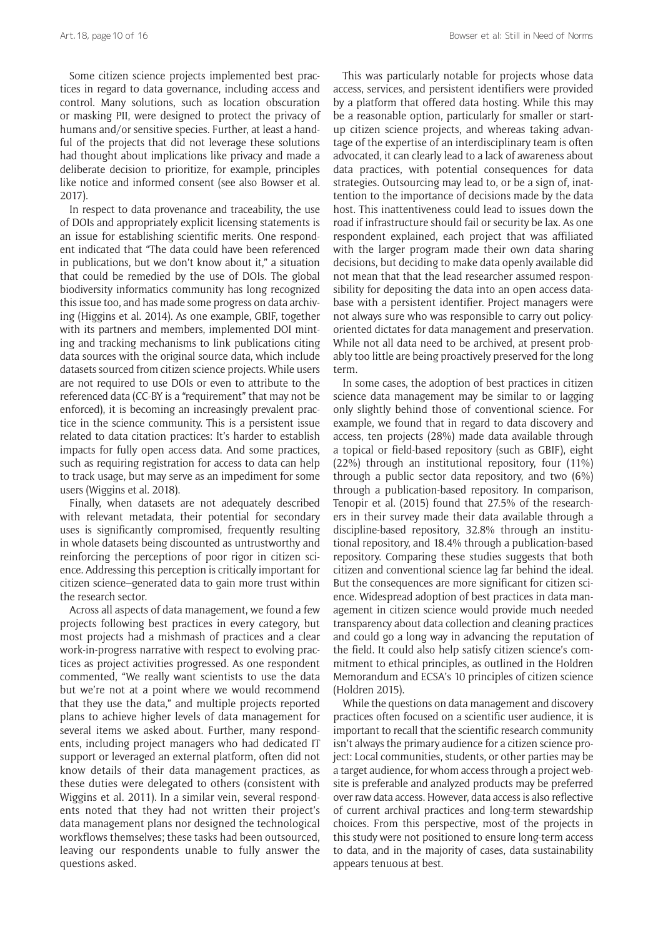Some citizen science projects implemented best practices in regard to data governance, including access and control. Many solutions, such as location obscuration or masking PII, were designed to protect the privacy of humans and/or sensitive species. Further, at least a handful of the projects that did not leverage these solutions had thought about implications like privacy and made a deliberate decision to prioritize, for example, principles like notice and informed consent (see also Bowser et al. 2017).

In respect to data provenance and traceability, the use of DOIs and appropriately explicit licensing statements is an issue for establishing scientific merits. One respondent indicated that "The data could have been referenced in publications, but we don't know about it," a situation that could be remedied by the use of DOIs. The global biodiversity informatics community has long recognized this issue too, and has made some progress on data archiving (Higgins et al. 2014). As one example, GBIF, together with its partners and members, implemented DOI minting and tracking mechanisms to link publications citing data sources with the original source data, which include datasets sourced from citizen science projects. While users are not required to use DOIs or even to attribute to the referenced data (CC-BY is a "requirement" that may not be enforced), it is becoming an increasingly prevalent practice in the science community. This is a persistent issue related to data citation practices: It's harder to establish impacts for fully open access data. And some practices, such as requiring registration for access to data can help to track usage, but may serve as an impediment for some users (Wiggins et al. 2018).

Finally, when datasets are not adequately described with relevant metadata, their potential for secondary uses is significantly compromised, frequently resulting in whole datasets being discounted as untrustworthy and reinforcing the perceptions of poor rigor in citizen science. Addressing this perception is critically important for citizen science–generated data to gain more trust within the research sector.

Across all aspects of data management, we found a few projects following best practices in every category, but most projects had a mishmash of practices and a clear work-in-progress narrative with respect to evolving practices as project activities progressed. As one respondent commented, "We really want scientists to use the data but we're not at a point where we would recommend that they use the data," and multiple projects reported plans to achieve higher levels of data management for several items we asked about. Further, many respondents, including project managers who had dedicated IT support or leveraged an external platform, often did not know details of their data management practices, as these duties were delegated to others (consistent with Wiggins et al. 2011). In a similar vein, several respondents noted that they had not written their project's data management plans nor designed the technological workflows themselves; these tasks had been outsourced, leaving our respondents unable to fully answer the questions asked.

This was particularly notable for projects whose data access, services, and persistent identifiers were provided by a platform that offered data hosting. While this may be a reasonable option, particularly for smaller or startup citizen science projects, and whereas taking advantage of the expertise of an interdisciplinary team is often advocated, it can clearly lead to a lack of awareness about data practices, with potential consequences for data strategies. Outsourcing may lead to, or be a sign of, inattention to the importance of decisions made by the data host. This inattentiveness could lead to issues down the road if infrastructure should fail or security be lax. As one respondent explained, each project that was affiliated with the larger program made their own data sharing decisions, but deciding to make data openly available did not mean that that the lead researcher assumed responsibility for depositing the data into an open access database with a persistent identifier. Project managers were not always sure who was responsible to carry out policyoriented dictates for data management and preservation. While not all data need to be archived, at present probably too little are being proactively preserved for the long term.

In some cases, the adoption of best practices in citizen science data management may be similar to or lagging only slightly behind those of conventional science. For example, we found that in regard to data discovery and access, ten projects (28%) made data available through a topical or field-based repository (such as GBIF), eight (22%) through an institutional repository, four (11%) through a public sector data repository, and two (6%) through a publication-based repository. In comparison, Tenopir et al. (2015) found that 27.5% of the researchers in their survey made their data available through a discipline-based repository, 32.8% through an institutional repository, and 18.4% through a publication-based repository. Comparing these studies suggests that both citizen and conventional science lag far behind the ideal. But the consequences are more significant for citizen science. Widespread adoption of best practices in data management in citizen science would provide much needed transparency about data collection and cleaning practices and could go a long way in advancing the reputation of the field. It could also help satisfy citizen science's commitment to ethical principles, as outlined in the Holdren Memorandum and ECSA's 10 principles of citizen science (Holdren 2015).

While the questions on data management and discovery practices often focused on a scientific user audience, it is important to recall that the scientific research community isn't always the primary audience for a citizen science project: Local communities, students, or other parties may be a target audience, for whom access through a project website is preferable and analyzed products may be preferred over raw data access. However, data access is also reflective of current archival practices and long-term stewardship choices. From this perspective, most of the projects in this study were not positioned to ensure long-term access to data, and in the majority of cases, data sustainability appears tenuous at best.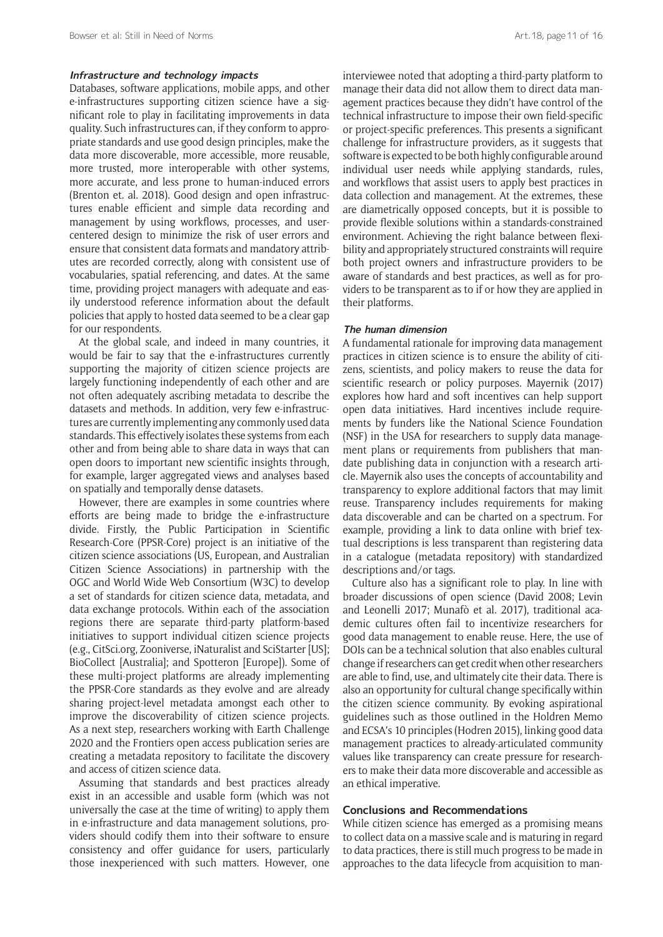#### **Infrastructure and technology impacts**

Databases, software applications, mobile apps, and other e-infrastructures supporting citizen science have a significant role to play in facilitating improvements in data quality. Such infrastructures can, if they conform to appropriate standards and use good design principles, make the data more discoverable, more accessible, more reusable, more trusted, more interoperable with other systems, more accurate, and less prone to human-induced errors (Brenton et. al. 2018). Good design and open infrastructures enable efficient and simple data recording and management by using workflows, processes, and usercentered design to minimize the risk of user errors and ensure that consistent data formats and mandatory attributes are recorded correctly, along with consistent use of vocabularies, spatial referencing, and dates. At the same time, providing project managers with adequate and easily understood reference information about the default policies that apply to hosted data seemed to be a clear gap for our respondents.

At the global scale, and indeed in many countries, it would be fair to say that the e-infrastructures currently supporting the majority of citizen science projects are largely functioning independently of each other and are not often adequately ascribing metadata to describe the datasets and methods. In addition, very few e-infrastructures are currently implementing any commonly used data standards. This effectively isolates these systems from each other and from being able to share data in ways that can open doors to important new scientific insights through, for example, larger aggregated views and analyses based on spatially and temporally dense datasets.

However, there are examples in some countries where efforts are being made to bridge the e-infrastructure divide. Firstly, the Public Participation in Scientific Research-Core (PPSR-Core) project is an initiative of the citizen science associations (US, European, and Australian Citizen Science Associations) in partnership with the OGC and World Wide Web Consortium (W3C) to develop a set of standards for citizen science data, metadata, and data exchange protocols. Within each of the association regions there are separate third-party platform-based initiatives to support individual citizen science projects (e.g., [CitSci.org,](http://CitSci.org) Zooniverse, iNaturalist and SciStarter [US]; BioCollect [Australia]; and Spotteron [Europe]). Some of these multi-project platforms are already implementing the PPSR-Core standards as they evolve and are already sharing project-level metadata amongst each other to improve the discoverability of citizen science projects. As a next step, researchers working with Earth Challenge 2020 and the Frontiers open access publication series are creating a metadata repository to facilitate the discovery and access of citizen science data.

Assuming that standards and best practices already exist in an accessible and usable form (which was not universally the case at the time of writing) to apply them in e-infrastructure and data management solutions, providers should codify them into their software to ensure consistency and offer guidance for users, particularly those inexperienced with such matters. However, one

interviewee noted that adopting a third-party platform to manage their data did not allow them to direct data management practices because they didn't have control of the technical infrastructure to impose their own field-specific or project-specific preferences. This presents a significant challenge for infrastructure providers, as it suggests that software is expected to be both highly configurable around individual user needs while applying standards, rules, and workflows that assist users to apply best practices in data collection and management. At the extremes, these are diametrically opposed concepts, but it is possible to provide flexible solutions within a standards-constrained environment. Achieving the right balance between flexibility and appropriately structured constraints will require both project owners and infrastructure providers to be aware of standards and best practices, as well as for providers to be transparent as to if or how they are applied in their platforms.

#### **The human dimension**

A fundamental rationale for improving data management practices in citizen science is to ensure the ability of citizens, scientists, and policy makers to reuse the data for scientific research or policy purposes. Mayernik (2017) explores how hard and soft incentives can help support open data initiatives. Hard incentives include requirements by funders like the National Science Foundation (NSF) in the USA for researchers to supply data management plans or requirements from publishers that mandate publishing data in conjunction with a research article. Mayernik also uses the concepts of accountability and transparency to explore additional factors that may limit reuse. Transparency includes requirements for making data discoverable and can be charted on a spectrum. For example, providing a link to data online with brief textual descriptions is less transparent than registering data in a catalogue (metadata repository) with standardized descriptions and/or tags.

Culture also has a significant role to play. In line with broader discussions of open science (David 2008; Levin and Leonelli 2017; Munafò et al. 2017), traditional academic cultures often fail to incentivize researchers for good data management to enable reuse. Here, the use of DOIs can be a technical solution that also enables cultural change if researchers can get credit when other researchers are able to find, use, and ultimately cite their data. There is also an opportunity for cultural change specifically within the citizen science community. By evoking aspirational guidelines such as those outlined in the Holdren Memo and ECSA's 10 principles (Hodren 2015), linking good data management practices to already-articulated community values like transparency can create pressure for researchers to make their data more discoverable and accessible as an ethical imperative.

## **Conclusions and Recommendations**

While citizen science has emerged as a promising means to collect data on a massive scale and is maturing in regard to data practices, there is still much progress to be made in approaches to the data lifecycle from acquisition to man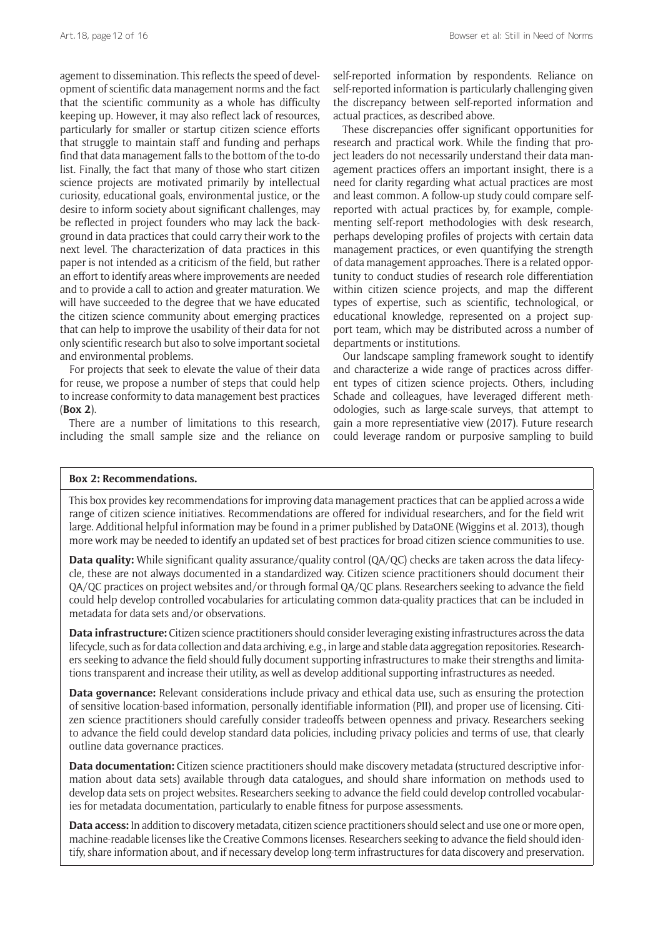agement to dissemination. This reflects the speed of development of scientific data management norms and the fact that the scientific community as a whole has difficulty keeping up. However, it may also reflect lack of resources, particularly for smaller or startup citizen science efforts that struggle to maintain staff and funding and perhaps find that data management falls to the bottom of the to-do list. Finally, the fact that many of those who start citizen science projects are motivated primarily by intellectual curiosity, educational goals, environmental justice, or the desire to inform society about significant challenges, may be reflected in project founders who may lack the background in data practices that could carry their work to the next level. The characterization of data practices in this paper is not intended as a criticism of the field, but rather an effort to identify areas where improvements are needed and to provide a call to action and greater maturation. We will have succeeded to the degree that we have educated the citizen science community about emerging practices that can help to improve the usability of their data for not only scientific research but also to solve important societal and environmental problems.

For projects that seek to elevate the value of their data for reuse, we propose a number of steps that could help to increase conformity to data management best practices (**Box 2**).

There are a number of limitations to this research, including the small sample size and the reliance on self-reported information by respondents. Reliance on self-reported information is particularly challenging given the discrepancy between self-reported information and actual practices, as described above.

These discrepancies offer significant opportunities for research and practical work. While the finding that project leaders do not necessarily understand their data management practices offers an important insight, there is a need for clarity regarding what actual practices are most and least common. A follow-up study could compare selfreported with actual practices by, for example, complementing self-report methodologies with desk research, perhaps developing profiles of projects with certain data management practices, or even quantifying the strength of data management approaches. There is a related opportunity to conduct studies of research role differentiation within citizen science projects, and map the different types of expertise, such as scientific, technological, or educational knowledge, represented on a project support team, which may be distributed across a number of departments or institutions.

Our landscape sampling framework sought to identify and characterize a wide range of practices across different types of citizen science projects. Others, including Schade and colleagues, have leveraged different methodologies, such as large-scale surveys, that attempt to gain a more representiative view (2017). Future research could leverage random or purposive sampling to build

#### **Box 2: Recommendations.**

This box provides key recommendations for improving data management practices that can be applied across a wide range of citizen science initiatives. Recommendations are offered for individual researchers, and for the field writ large. Additional helpful information may be found in a primer published by DataONE (Wiggins et al. 2013), though more work may be needed to identify an updated set of best practices for broad citizen science communities to use.

**Data quality:** While significant quality assurance/quality control (QA/QC) checks are taken across the data lifecycle, these are not always documented in a standardized way. Citizen science practitioners should document their QA/QC practices on project websites and/or through formal QA/QC plans. Researchers seeking to advance the field could help develop controlled vocabularies for articulating common data-quality practices that can be included in metadata for data sets and/or observations.

**Data infrastructure:** Citizen science practitioners should consider leveraging existing infrastructures across the data lifecycle, such as for data collection and data archiving, e.g., in large and stable data aggregation repositories. Researchers seeking to advance the field should fully document supporting infrastructures to make their strengths and limitations transparent and increase their utility, as well as develop additional supporting infrastructures as needed.

**Data governance:** Relevant considerations include privacy and ethical data use, such as ensuring the protection of sensitive location-based information, personally identifiable information (PII), and proper use of licensing. Citizen science practitioners should carefully consider tradeoffs between openness and privacy. Researchers seeking to advance the field could develop standard data policies, including privacy policies and terms of use, that clearly outline data governance practices.

**Data documentation:** Citizen science practitioners should make discovery metadata (structured descriptive information about data sets) available through data catalogues, and should share information on methods used to develop data sets on project websites. Researchers seeking to advance the field could develop controlled vocabularies for metadata documentation, particularly to enable fitness for purpose assessments.

**Data access:** In addition to discovery metadata, citizen science practitioners should select and use one or more open, machine-readable licenses like the Creative Commons licenses. Researchers seeking to advance the field should identify, share information about, and if necessary develop long-term infrastructures for data discovery and preservation.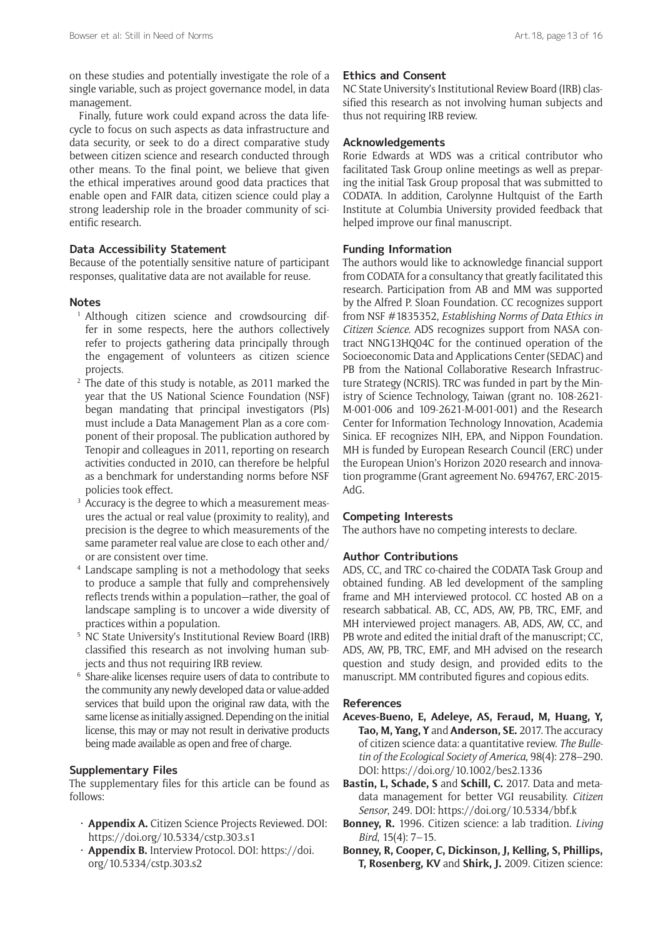on these studies and potentially investigate the role of a single variable, such as project governance model, in data management.

Finally, future work could expand across the data lifecycle to focus on such aspects as data infrastructure and data security, or seek to do a direct comparative study between citizen science and research conducted through other means. To the final point, we believe that given the ethical imperatives around good data practices that enable open and FAIR data, citizen science could play a strong leadership role in the broader community of scientific research.

## **Data Accessibility Statement**

Because of the potentially sensitive nature of participant responses, qualitative data are not available for reuse.

#### **Notes**

- <sup>1</sup> Although citizen science and crowdsourcing differ in some respects, here the authors collectively refer to projects gathering data principally through the engagement of volunteers as citizen science projects.
- <sup>2</sup> The date of this study is notable, as 2011 marked the year that the US National Science Foundation (NSF) began mandating that principal investigators (PIs) must include a Data Management Plan as a core component of their proposal. The publication authored by Tenopir and colleagues in 2011, reporting on research activities conducted in 2010, can therefore be helpful as a benchmark for understanding norms before NSF policies took effect.
- <sup>3</sup> Accuracy is the degree to which a measurement measures the actual or real value (proximity to reality), and precision is the degree to which measurements of the same parameter real value are close to each other and/ or are consistent over time.
- <sup>4</sup> Landscape sampling is not a methodology that seeks to produce a sample that fully and comprehensively reflects trends within a population—rather, the goal of landscape sampling is to uncover a wide diversity of practices within a population.
- <sup>5</sup> NC State University's Institutional Review Board (IRB) classified this research as not involving human subjects and thus not requiring IRB review.
- <sup>6</sup> Share-alike licenses require users of data to contribute to the community any newly developed data or value-added services that build upon the original raw data, with the same license as initially assigned. Depending on the initial license, this may or may not result in derivative products being made available as open and free of charge.

## **Supplementary Files**

The supplementary files for this article can be found as follows:

- • **Appendix A.** Citizen Science Projects Reviewed. DOI: <https://doi.org/10.5334/cstp.303.s1>
- • **Appendix B.** Interview Protocol. DOI: [https://doi.](https://doi.org/10.5334/cstp.303.s2) [org/10.5334/cstp.303.s2](https://doi.org/10.5334/cstp.303.s2)

#### **Ethics and Consent**

NC State University's Institutional Review Board (IRB) classified this research as not involving human subjects and thus not requiring IRB review.

## **Acknowledgements**

Rorie Edwards at WDS was a critical contributor who facilitated Task Group online meetings as well as preparing the initial Task Group proposal that was submitted to CODATA. In addition, Carolynne Hultquist of the Earth Institute at Columbia University provided feedback that helped improve our final manuscript.

## **Funding Information**

The authors would like to acknowledge financial support from CODATA for a consultancy that greatly facilitated this research. Participation from AB and MM was supported by the Alfred P. Sloan Foundation. CC recognizes support from NSF #1835352, *Establishing Norms of Data Ethics in Citizen Science*. ADS recognizes support from NASA contract NNG13HQ04C for the continued operation of the Socioeconomic Data and Applications Center (SEDAC) and PB from the National Collaborative Research Infrastructure Strategy (NCRIS). TRC was funded in part by the Ministry of Science Technology, Taiwan (grant no. 108-2621- M-001-006 and 109-2621-M-001-001) and the Research Center for Information Technology Innovation, Academia Sinica. EF recognizes NIH, EPA, and Nippon Foundation. MH is funded by European Research Council (ERC) under the European Union's Horizon 2020 research and innovation programme (Grant agreement No. 694767, ERC-2015- AdG.

#### **Competing Interests**

The authors have no competing interests to declare.

## **Author Contributions**

ADS, CC, and TRC co-chaired the CODATA Task Group and obtained funding. AB led development of the sampling frame and MH interviewed protocol. CC hosted AB on a research sabbatical. AB, CC, ADS, AW, PB, TRC, EMF, and MH interviewed project managers. AB, ADS, AW, CC, and PB wrote and edited the initial draft of the manuscript; CC, ADS, AW, PB, TRC, EMF, and MH advised on the research question and study design, and provided edits to the manuscript. MM contributed figures and copious edits.

## **References**

- **Aceves-Bueno, E, Adeleye, AS, Feraud, M, Huang, Y, Tao, M, Yang, Y** and **Anderson, SE.** 2017. The accuracy of citizen science data: a quantitative review. *The Bulletin of the Ecological Society of America*, 98(4): 278–290. DOI: <https://doi.org/10.1002/bes2.1336>
- **Bastin, L, Schade, S** and **Schill, C.** 2017. Data and metadata management for better VGI reusability. *Citizen Sensor*, 249. DOI:<https://doi.org/10.5334/bbf.k>
- **Bonney, R.** 1996. Citizen science: a lab tradition. *Living Bird*, 15(4): 7–15.
- **Bonney, R, Cooper, C, Dickinson, J, Kelling, S, Phillips, T, Rosenberg, KV** and **Shirk, J.** 2009. Citizen science: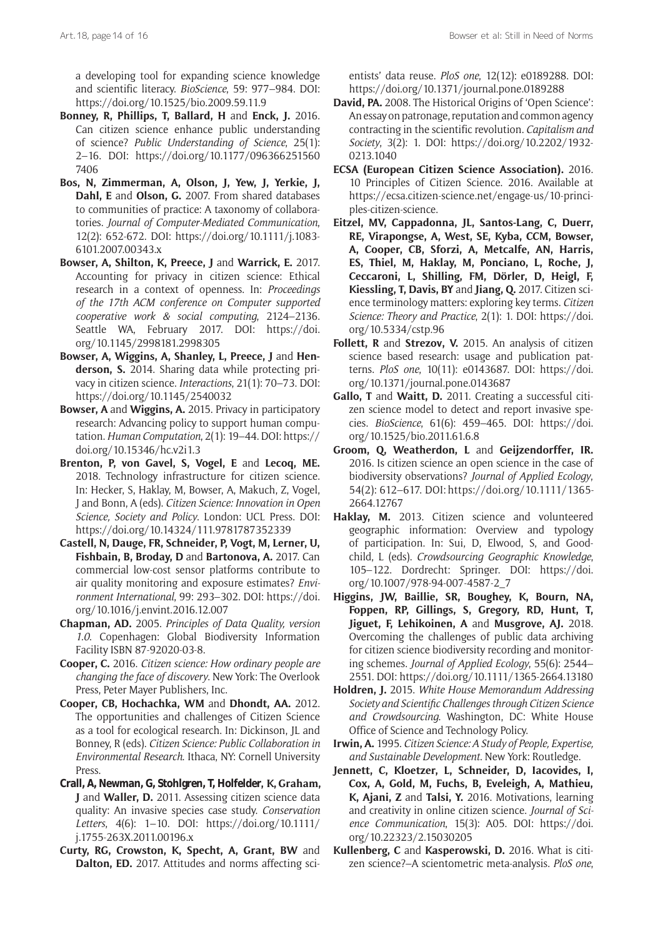a developing tool for expanding science knowledge and scientific literacy. *BioScience*, 59: 977–984. DOI: <https://doi.org/10.1525/bio.2009.59.11.9>

- **Bonney, R, Phillips, T, Ballard, H** and **Enck, J.** 2016. Can citizen science enhance public understanding of science? *Public Understanding of Science*, 25(1): 2–16. DOI: [https://doi.org/10.1177/096366251560](https://doi.org/10.1177/0963662515607406) [7406](https://doi.org/10.1177/0963662515607406)
- **Bos, N, Zimmerman, A, Olson, J, Yew, J, Yerkie, J, Dahl, E** and **Olson, G.** 2007. From shared databases to communities of practice: A taxonomy of collaboratories. *Journal of Computer-Mediated Communication*, 12(2): 652-672. DOI: [https://doi.org/10.1111/j.1083-](https://doi.org/10.1111/j.1083-6101.2007.00343.x) [6101.2007.00343.x](https://doi.org/10.1111/j.1083-6101.2007.00343.x)
- **Bowser, A, Shilton, K, Preece, J** and **Warrick, E.** 2017. Accounting for privacy in citizen science: Ethical research in a context of openness. In: *Proceedings of the 17th ACM conference on Computer supported cooperative work & social computing*, 2124–2136. Seattle WA, February 2017. DOI: [https://doi.](https://doi.org/10.1145/2998181.2998305) [org/10.1145/2998181.2998305](https://doi.org/10.1145/2998181.2998305)
- **Bowser, A, Wiggins, A, Shanley, L, Preece, J** and **Henderson, S.** 2014. Sharing data while protecting privacy in citizen science. *Interactions*, 21(1): 70–73. DOI: <https://doi.org/10.1145/2540032>
- **Bowser, A** and **Wiggins, A.** 2015. Privacy in participatory research: Advancing policy to support human computation. *Human Computation*, 2(1): 19–44. DOI: [https://](https://doi.org/10.15346/hc.v2i1.3) [doi.org/10.15346/hc.v2i1.3](https://doi.org/10.15346/hc.v2i1.3)
- **Brenton, P, von Gavel, S, Vogel, E** and **Lecoq, ME.** 2018. Technology infrastructure for citizen science. In: Hecker, S, Haklay, M, Bowser, A, Makuch, Z, Vogel, J and Bonn, A (eds). *Citizen Science: Innovation in Open Science, Society and Policy*. London: UCL Press. DOI: <https://doi.org/10.14324/111.9781787352339>
- **Castell, N, Dauge, FR, Schneider, P, Vogt, M, Lerner, U, Fishbain, B, Broday, D** and **Bartonova, A.** 2017. Can commercial low-cost sensor platforms contribute to air quality monitoring and exposure estimates? *Environment International*, 99: 293–302. DOI: [https://doi.](https://doi.org/10.1016/j.envint.2016.12.007) [org/10.1016/j.envint.2016.12.007](https://doi.org/10.1016/j.envint.2016.12.007)
- **Chapman, AD.** 2005. *Principles of Data Quality, version 1.0*. Copenhagen: Global Biodiversity Information Facility ISBN 87-92020-03-8.
- **Cooper, C.** 2016. *Citizen science: How ordinary people are changing the face of discovery*. New York: The Overlook Press, Peter Mayer Publishers, Inc.
- **Cooper, CB, Hochachka, WM** and **Dhondt, AA.** 2012. The opportunities and challenges of Citizen Science as a tool for ecological research. In: Dickinson, JL and Bonney, R (eds). *Citizen Science: Public Collaboration in Environmental Research*. Ithaca, NY: Cornell University Press.
- **Crall, A, Newman, G, Stohlgren, T, Holfelder, K, Graham, J** and **Waller, D.** 2011. Assessing citizen science data quality: An invasive species case study. *Conservation Letters*, 4(6): 1–10. DOI: [https://doi.org/10.1111/](https://doi.org/10.1111/j.1755-263X.2011.00196.x) [j.1755-263X.2011.00196.x](https://doi.org/10.1111/j.1755-263X.2011.00196.x)
- **Curty, RG, Crowston, K, Specht, A, Grant, BW** and **Dalton, ED.** 2017. Attitudes and norms affecting sci-

entists' data reuse. *PloS one*, 12(12): e0189288. DOI: <https://doi.org/10.1371/journal.pone.0189288>

- **David, PA.** 2008. The Historical Origins of 'Open Science': An essay on patronage, reputation and common agency contracting in the scientific revolution. *Capitalism and Society*, 3(2): 1. DOI: [https://doi.org/10.2202/1932-](https://doi.org/10.2202/1932-0213.1040) [0213.1040](https://doi.org/10.2202/1932-0213.1040)
- **ECSA (European Citizen Science Association).** 2016. 10 Principles of Citizen Science. 2016. Available at [https://ecsa.citizen-science.net/engage-us/10-princi](https://ecsa.citizen-science.net/engage-us/10-principles-citizen-science)[ples-citizen-science](https://ecsa.citizen-science.net/engage-us/10-principles-citizen-science).
- **Eitzel, MV, Cappadonna, JL, Santos-Lang, C, Duerr, RE, Virapongse, A, West, SE, Kyba, CCM, Bowser, A, Cooper, CB, Sforzi, A, Metcalfe, AN, Harris, ES, Thiel, M, Haklay, M, Ponciano, L, Roche, J, Ceccaroni, L, Shilling, FM, Dörler, D, Heigl, F, Kiessling, T, Davis, BY** and **Jiang, Q.** 2017. Citizen science terminology matters: exploring key terms. *Citizen Science: Theory and Practice*, 2(1): 1. DOI: [https://doi.](https://doi.org/10.5334/cstp.96) [org/10.5334/cstp.96](https://doi.org/10.5334/cstp.96)
- **Follett, R** and **Strezov, V.** 2015. An analysis of citizen science based research: usage and publication patterns. *PloS one*, 10(11): e0143687. DOI: [https://doi.](https://doi.org/10.1371/journal.pone.0143687) [org/10.1371/journal.pone.0143687](https://doi.org/10.1371/journal.pone.0143687)
- **Gallo, T** and **Waitt, D.** 2011. Creating a successful citizen science model to detect and report invasive species. *BioScience*, 61(6): 459–465. DOI: [https://doi.](https://doi.org/10.1525/bio.2011.61.6.8) [org/10.1525/bio.2011.61.6.8](https://doi.org/10.1525/bio.2011.61.6.8)
- **Groom, Q, Weatherdon, L** and **Geijzendorffer, IR.** 2016. Is citizen science an open science in the case of biodiversity observations? *Journal of Applied Ecology*, 54(2): 612–617. DOI[: https://doi.org/10.1111/1365-](https://doi.org/10.1111/1365-2664.12767) [2664.12767](https://doi.org/10.1111/1365-2664.12767)
- **Haklay, M.** 2013. Citizen science and volunteered geographic information: Overview and typology of participation. In: Sui, D, Elwood, S, and Goodchild, L (eds). *Crowdsourcing Geographic Knowledge*, 105–122. Dordrecht: Springer. DOI: [https://doi.](https://doi.org/10.1007/978-94-007-4587-2_7) [org/10.1007/978-94-007-4587-2\\_7](https://doi.org/10.1007/978-94-007-4587-2_7)
- **Higgins, JW, Baillie, SR, Boughey, K, Bourn, NA, Foppen, RP, Gillings, S, Gregory, RD, Hunt, T, Jiguet, F, Lehikoinen, A** and **Musgrove, AJ.** 2018. Overcoming the challenges of public data archiving for citizen science biodiversity recording and monitoring schemes. *Journal of Applied Ecology*, 55(6): 2544– 2551. DOI: <https://doi.org/10.1111/1365-2664.13180>
- **Holdren, J.** 2015. *White House Memorandum Addressing Society and Scientific Challenges through Citizen Science and Crowdsourcing*. Washington, DC: White House Office of Science and Technology Policy.
- **Irwin, A.** 1995. *Citizen Science: A Study of People, Expertise, and Sustainable Development*. New York: Routledge.
- **Jennett, C, Kloetzer, L, Schneider, D, Iacovides, I, Cox, A, Gold, M, Fuchs, B, Eveleigh, A, Mathieu, K, Ajani, Z** and **Talsi, Y.** 2016. Motivations, learning and creativity in online citizen science. *Journal of Science Communication*, 15(3): A05. DOI: [https://doi.](https://doi.org/10.22323/2.15030205) [org/10.22323/2.15030205](https://doi.org/10.22323/2.15030205)
- **Kullenberg, C** and **Kasperowski, D.** 2016. What is citizen science?–A scientometric meta-analysis. *PloS one*,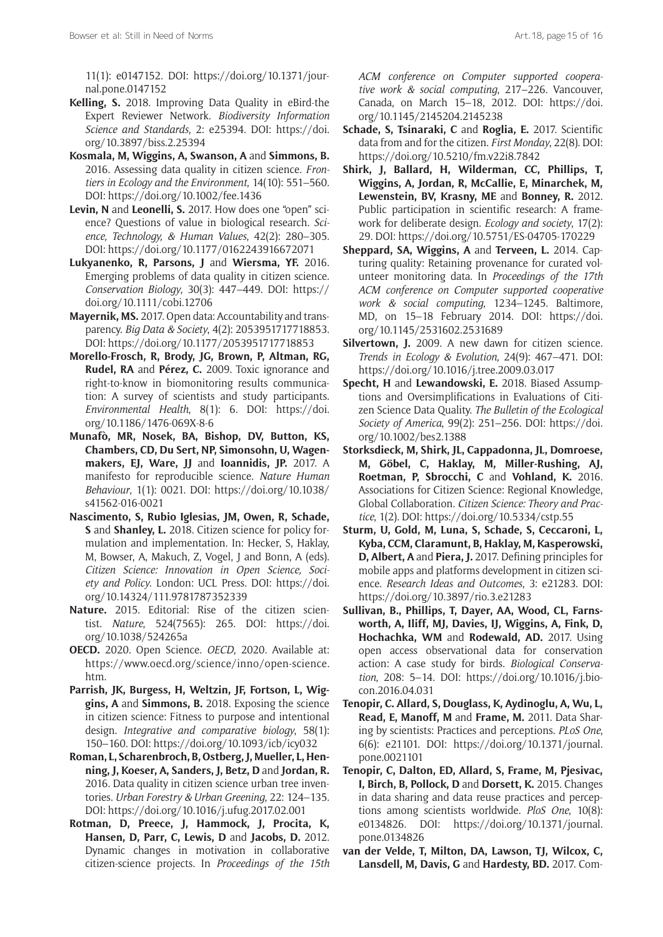11(1): e0147152. DOI: [https://doi.org/10.1371/jour](https://doi.org/10.1371/journal.pone.0147152)[nal.pone.0147152](https://doi.org/10.1371/journal.pone.0147152)

- **Kelling, S.** 2018. Improving Data Quality in eBird-the Expert Reviewer Network. *Biodiversity Information Science and Standards*, 2: e25394. DOI: [https://doi.](https://doi.org/10.3897/biss.2.25394) [org/10.3897/biss.2.25394](https://doi.org/10.3897/biss.2.25394)
- **Kosmala, M, Wiggins, A, Swanson, A** and **Simmons, B.** 2016. Assessing data quality in citizen science. *Frontiers in Ecology and the Environment*, 14(10): 551–560. DOI:<https://doi.org/10.1002/fee.1436>
- **Levin, N** and **Leonelli, S.** 2017. How does one "open" science? Questions of value in biological research. *Science, Technology, & Human Values*, 42(2): 280–305. DOI:<https://doi.org/10.1177/0162243916672071>
- **Lukyanenko, R, Parsons, J** and **Wiersma, YF.** 2016. Emerging problems of data quality in citizen science. *Conservation Biology*, 30(3): 447–449. DOI: [https://](https://doi.org/10.1111/cobi.12706) [doi.org/10.1111/cobi.12706](https://doi.org/10.1111/cobi.12706)
- **Mayernik, MS.** 2017. Open data: Accountability and transparency. *Big Data & Society*, 4(2): 2053951717718853. DOI:<https://doi.org/10.1177/2053951717718853>
- **Morello-Frosch, R, Brody, JG, Brown, P, Altman, RG, Rudel, RA** and **Pérez, C.** 2009. Toxic ignorance and right-to-know in biomonitoring results communication: A survey of scientists and study participants. *Environmental Health*, 8(1): 6. DOI: [https://doi.](https://doi.org/10.1186/1476-069X-8-6) [org/10.1186/1476-069X-8-6](https://doi.org/10.1186/1476-069X-8-6)
- **Munafò, MR, Nosek, BA, Bishop, DV, Button, KS, Chambers, CD, Du Sert, NP, Simonsohn, U, Wagenmakers, EJ, Ware, JJ** and **Ioannidis, JP.** 2017. A manifesto for reproducible science. *Nature Human Behaviour*, 1(1): 0021. DOI: [https://doi.org/10.1038/](https://doi.org/10.1038/s41562-016-0021) [s41562-016-0021](https://doi.org/10.1038/s41562-016-0021)
- **Nascimento, S, Rubio Iglesias, JM, Owen, R, Schade, S** and **Shanley, L.** 2018. Citizen science for policy formulation and implementation. In: Hecker, S, Haklay, M, Bowser, A, Makuch, Z, Vogel, J and Bonn, A (eds). *Citizen Science: Innovation in Open Science, Society and Policy*. London: UCL Press. DOI: [https://doi.](https://doi.org/10.14324/111.9781787352339) [org/10.14324/111.9781787352339](https://doi.org/10.14324/111.9781787352339)
- **Nature.** 2015. Editorial: Rise of the citizen scientist. *Nature*, 524(7565): 265. DOI: [https://doi.](https://doi.org/10.1038/524265a) [org/10.1038/524265a](https://doi.org/10.1038/524265a)
- **OECD.** 2020. Open Science. *OECD,* 2020*.* Available at: [https://www.oecd.org/science/inno/open-science.](https://www.oecd.org/science/inno/open-science.htm) [htm.](https://www.oecd.org/science/inno/open-science.htm)
- **Parrish, JK, Burgess, H, Weltzin, JF, Fortson, L, Wiggins, A** and **Simmons, B.** 2018. Exposing the science in citizen science: Fitness to purpose and intentional design. *Integrative and comparative biology*, 58(1): 150–160. DOI: <https://doi.org/10.1093/icb/icy032>
- **Roman, L, Scharenbroch, B, Ostberg, J, Mueller, L, Henning, J, Koeser, A, Sanders, J, Betz, D** and **Jordan, R.** 2016. Data quality in citizen science urban tree inventories. *Urban Forestry & Urban Greening*, 22: 124–135. DOI:<https://doi.org/10.1016/j.ufug.2017.02.001>
- **Rotman, D, Preece, J, Hammock, J, Procita, K, Hansen, D, Parr, C, Lewis, D** and **Jacobs, D.** 2012. Dynamic changes in motivation in collaborative citizen-science projects. In *Proceedings of the 15th*

*ACM conference on Computer supported cooperative work & social computing*, 217–226. Vancouver, Canada, on March 15–18, 2012. DOI: [https://doi.](https://doi.org/10.1145/2145204.2145238) [org/10.1145/2145204.2145238](https://doi.org/10.1145/2145204.2145238)

- **Schade, S, Tsinaraki, C** and **Roglia, E.** 2017. Scientific data from and for the citizen. *First Monday*, 22(8). DOI: <https://doi.org/10.5210/fm.v22i8.7842>
- **Shirk, J, Ballard, H, Wilderman, CC, Phillips, T, Wiggins, A, Jordan, R, McCallie, E, Minarchek, M, Lewenstein, BV, Krasny, ME** and **Bonney, R.** 2012. Public participation in scientific research: A framework for deliberate design. *Ecology and society*, 17(2): 29. DOI: <https://doi.org/10.5751/ES-04705-170229>
- **Sheppard, SA, Wiggins, A** and **Terveen, L.** 2014. Capturing quality: Retaining provenance for curated volunteer monitoring data. In *Proceedings of the 17th ACM conference on Computer supported cooperative work & social computing*, 1234–1245. Baltimore, MD, on 15–18 February 2014. DOI: [https://doi.](https://doi.org/10.1145/2531602.2531689) [org/10.1145/2531602.2531689](https://doi.org/10.1145/2531602.2531689)
- Silvertown, J. 2009. A new dawn for citizen science. *Trends in Ecology & Evolution*, 24(9): 467–471. DOI: <https://doi.org/10.1016/j.tree.2009.03.017>
- **Specht, H** and **Lewandowski, E.** 2018. Biased Assumptions and Oversimplifications in Evaluations of Citizen Science Data Quality. *The Bulletin of the Ecological Society of America*, 99(2): 251–256. DOI: [https://doi.](https://doi.org/10.1002/bes2.1388) [org/10.1002/bes2.1388](https://doi.org/10.1002/bes2.1388)
- **Storksdieck, M, Shirk, JL, Cappadonna, JL, Domroese, M, Göbel, C, Haklay, M, Miller-Rushing, AJ, Roetman, P, Sbrocchi, C** and **Vohland, K.** 2016. Associations for Citizen Science: Regional Knowledge, Global Collaboration. *Citizen Science: Theory and Practice*, 1(2). DOI: <https://doi.org/10.5334/cstp.55>
- **Sturm, U, Gold, M, Luna, S, Schade, S, Ceccaroni, L, Kyba, CCM, Claramunt, B, Haklay, M, Kasperowski, D, Albert, A** and **Piera, J.** 2017. Defining principles for mobile apps and platforms development in citizen science. *Research Ideas and Outcomes*, 3: e21283. DOI: <https://doi.org/10.3897/rio.3.e21283>
- **Sullivan, B., Phillips, T, Dayer, AA, Wood, CL, Farnsworth, A, Iliff, MJ, Davies, IJ, Wiggins, A, Fink, D, Hochachka, WM** and **Rodewald, AD.** 2017. Using open access observational data for conservation action: A case study for birds. *Biological Conservation*, 208: 5–14. DOI: [https://doi.org/10.1016/j.bio](https://doi.org/10.1016/j.biocon.2016.04.031)[con.2016.04.031](https://doi.org/10.1016/j.biocon.2016.04.031)
- **Tenopir, C. Allard, S, Douglass, K, Aydinoglu, A, Wu, L, Read, E, Manoff, M** and **Frame, M.** 2011. Data Sharing by scientists: Practices and perceptions. *PLoS One*, 6(6): e21101. DOI: [https://doi.org/10.1371/journal.](https://doi.org/10.1371/journal.pone.0021101) [pone.0021101](https://doi.org/10.1371/journal.pone.0021101)
- **Tenopir, C, Dalton, ED, Allard, S, Frame, M, Pjesivac, I, Birch, B, Pollock, D** and **Dorsett, K.** 2015. Changes in data sharing and data reuse practices and perceptions among scientists worldwide. *PloS One*, 10(8): e0134826. DOI: [https://doi.org/10.1371/journal.](https://doi.org/10.1371/journal.pone.0134826) [pone.0134826](https://doi.org/10.1371/journal.pone.0134826)
- **van der Velde, T, Milton, DA, Lawson, TJ, Wilcox, C, Lansdell, M, Davis, G** and **Hardesty, BD.** 2017. Com-